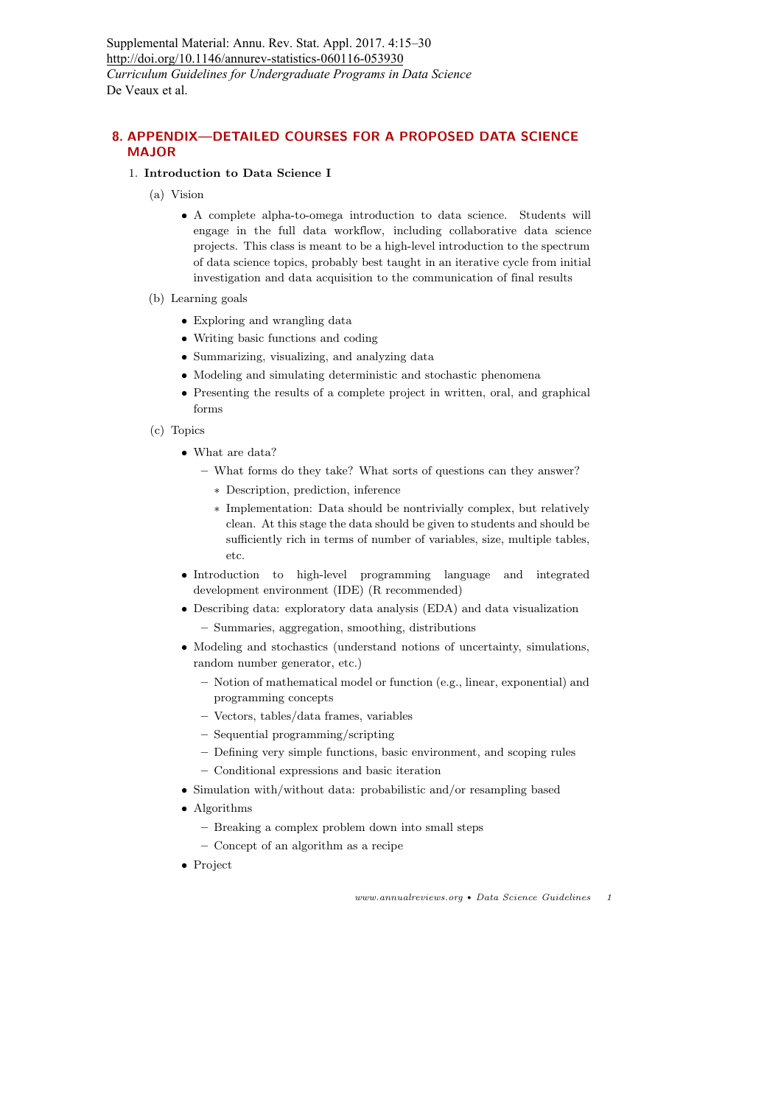Supplemental Material: Annu. Rev. Stat. Appl. 2017. 4:15–30 http://doi.org/10.1146/annurev-statistics-060116-053930 *Curriculum Guidelines for Undergraduate Programs in Data Science* De Veaux et al.

# 8. APPENDIX—DETAILED COURSES FOR A PROPOSED DATA SCIENCE MAJOR

### 1. Introduction to Data Science I

- (a) Vision
	- A complete alpha-to-omega introduction to data science. Students will engage in the full data workflow, including collaborative data science projects. This class is meant to be a high-level introduction to the spectrum of data science topics, probably best taught in an iterative cycle from initial investigation and data acquisition to the communication of final results
- (b) Learning goals
	- Exploring and wrangling data
	- Writing basic functions and coding
	- Summarizing, visualizing, and analyzing data
	- Modeling and simulating deterministic and stochastic phenomena
	- Presenting the results of a complete project in written, oral, and graphical forms
- (c) Topics
	- What are data?
		- What forms do they take? What sorts of questions can they answer?
			- ∗ Description, prediction, inference
			- ∗ Implementation: Data should be nontrivially complex, but relatively clean. At this stage the data should be given to students and should be sufficiently rich in terms of number of variables, size, multiple tables, etc.
	- Introduction to high-level programming language and integrated development environment (IDE) (R recommended)
	- Describing data: exploratory data analysis (EDA) and data visualization
		- Summaries, aggregation, smoothing, distributions
	- Modeling and stochastics (understand notions of uncertainty, simulations, random number generator, etc.)
		- Notion of mathematical model or function (e.g., linear, exponential) and programming concepts
		- Vectors, tables/data frames, variables
		- Sequential programming/scripting
		- Defining very simple functions, basic environment, and scoping rules
		- Conditional expressions and basic iteration
	- Simulation with/without data: probabilistic and/or resampling based
	- Algorithms
		- Breaking a complex problem down into small steps
		- Concept of an algorithm as a recipe
	- Project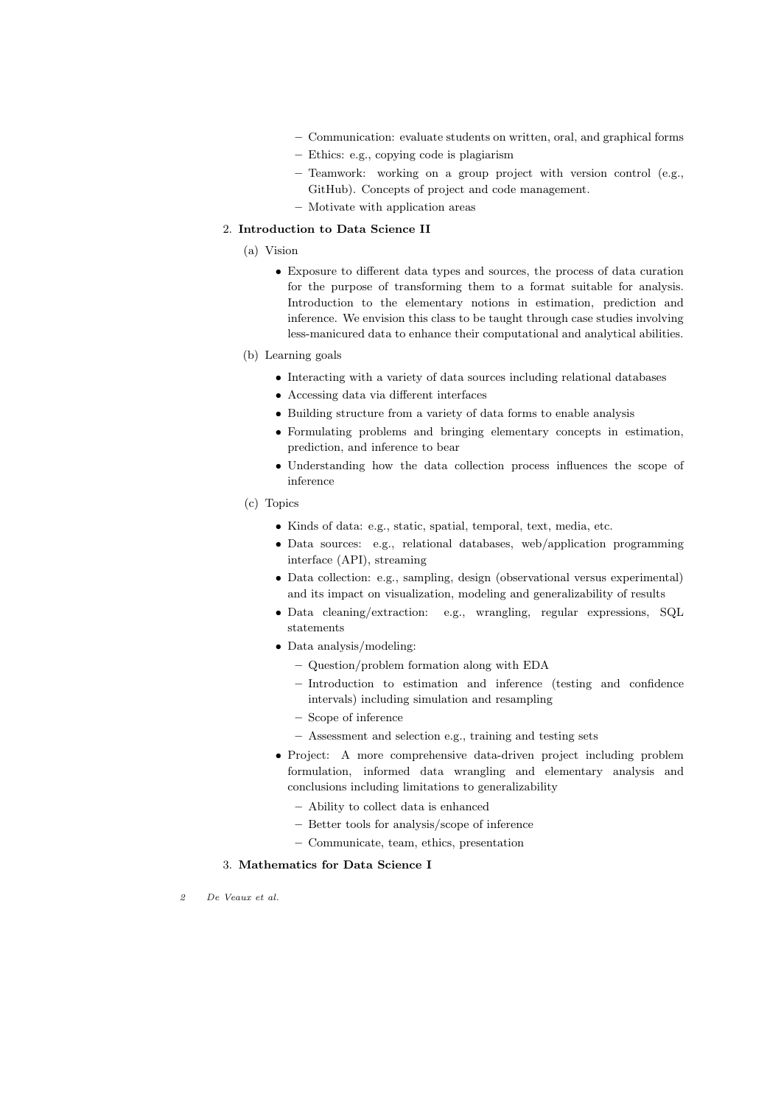- Communication: evaluate students on written, oral, and graphical forms
- Ethics: e.g., copying code is plagiarism
- Teamwork: working on a group project with version control (e.g., GitHub). Concepts of project and code management.
- Motivate with application areas

#### 2. Introduction to Data Science II

- (a) Vision
	- Exposure to different data types and sources, the process of data curation for the purpose of transforming them to a format suitable for analysis. Introduction to the elementary notions in estimation, prediction and inference. We envision this class to be taught through case studies involving less-manicured data to enhance their computational and analytical abilities.
- (b) Learning goals
	- Interacting with a variety of data sources including relational databases
	- Accessing data via different interfaces
	- Building structure from a variety of data forms to enable analysis
	- Formulating problems and bringing elementary concepts in estimation, prediction, and inference to bear
	- Understanding how the data collection process influences the scope of inference
- (c) Topics
	- Kinds of data: e.g., static, spatial, temporal, text, media, etc.
	- Data sources: e.g., relational databases, web/application programming interface (API), streaming
	- Data collection: e.g., sampling, design (observational versus experimental) and its impact on visualization, modeling and generalizability of results
	- Data cleaning/extraction: e.g., wrangling, regular expressions, SQL statements
	- Data analysis/modeling:
		- Question/problem formation along with EDA
		- Introduction to estimation and inference (testing and confidence intervals) including simulation and resampling
		- Scope of inference
		- Assessment and selection e.g., training and testing sets
	- Project: A more comprehensive data-driven project including problem formulation, informed data wrangling and elementary analysis and conclusions including limitations to generalizability
		- Ability to collect data is enhanced
		- Better tools for analysis/scope of inference
		- Communicate, team, ethics, presentation

#### 3. Mathematics for Data Science I

2 De Veaux et al.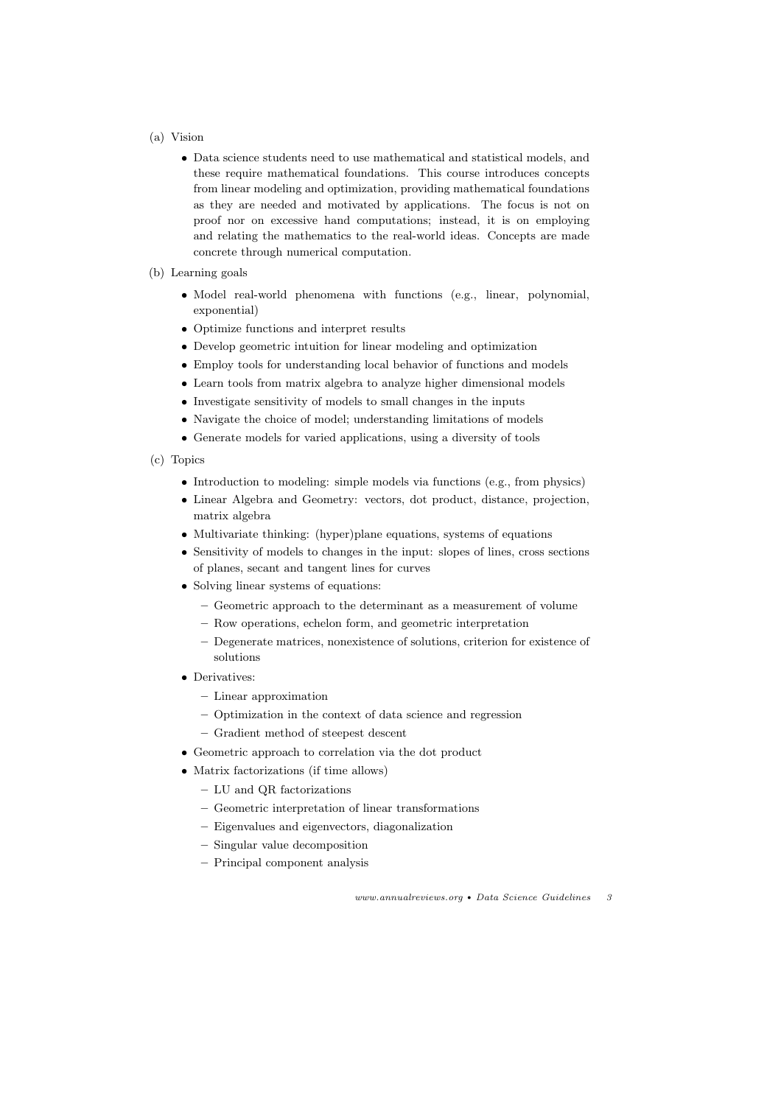# (a) Vision

- Data science students need to use mathematical and statistical models, and these require mathematical foundations. This course introduces concepts from linear modeling and optimization, providing mathematical foundations as they are needed and motivated by applications. The focus is not on proof nor on excessive hand computations; instead, it is on employing and relating the mathematics to the real-world ideas. Concepts are made concrete through numerical computation.
- (b) Learning goals
	- Model real-world phenomena with functions (e.g., linear, polynomial, exponential)
	- Optimize functions and interpret results
	- Develop geometric intuition for linear modeling and optimization
	- Employ tools for understanding local behavior of functions and models
	- Learn tools from matrix algebra to analyze higher dimensional models
	- Investigate sensitivity of models to small changes in the inputs
	- Navigate the choice of model; understanding limitations of models
	- Generate models for varied applications, using a diversity of tools
- (c) Topics
	- Introduction to modeling: simple models via functions (e.g., from physics)
	- Linear Algebra and Geometry: vectors, dot product, distance, projection, matrix algebra
	- Multivariate thinking: (hyper)plane equations, systems of equations
	- Sensitivity of models to changes in the input: slopes of lines, cross sections of planes, secant and tangent lines for curves
	- Solving linear systems of equations:
		- Geometric approach to the determinant as a measurement of volume
		- Row operations, echelon form, and geometric interpretation
		- Degenerate matrices, nonexistence of solutions, criterion for existence of solutions
	- Derivatives:
		- Linear approximation
		- Optimization in the context of data science and regression
		- Gradient method of steepest descent
	- Geometric approach to correlation via the dot product
	- Matrix factorizations (if time allows)
		- LU and QR factorizations
		- Geometric interpretation of linear transformations
		- Eigenvalues and eigenvectors, diagonalization
		- Singular value decomposition
		- Principal component analysis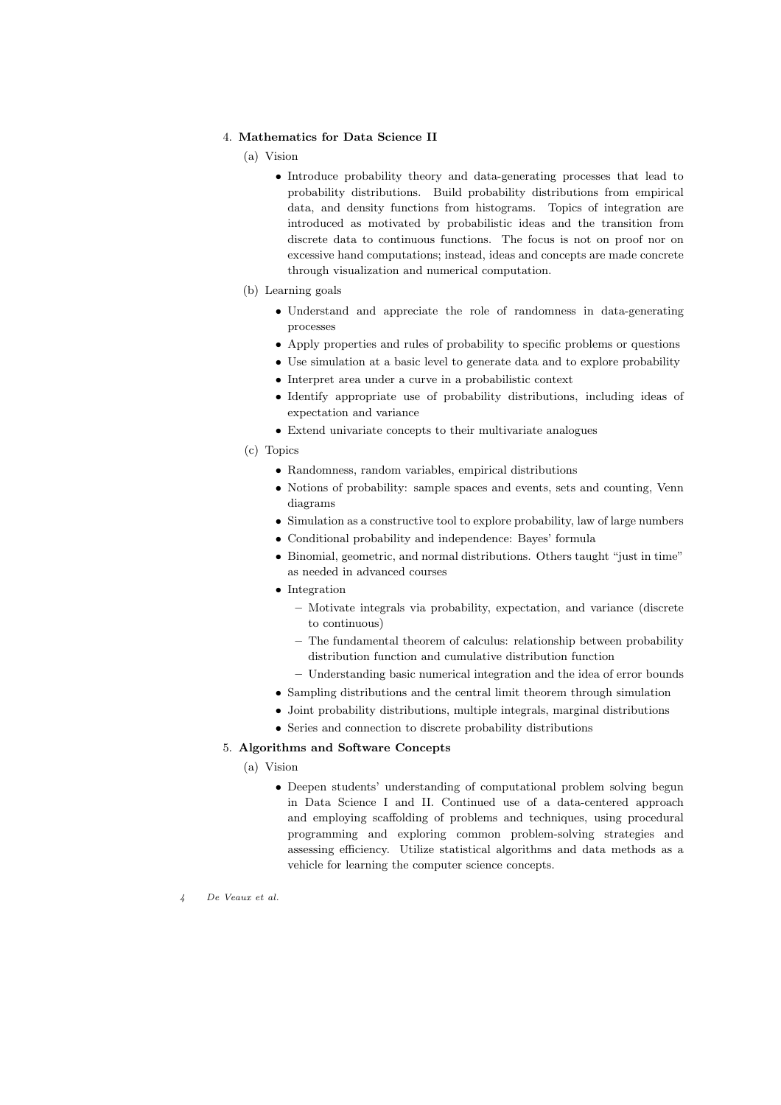### 4. Mathematics for Data Science II

(a) Vision

- Introduce probability theory and data-generating processes that lead to probability distributions. Build probability distributions from empirical data, and density functions from histograms. Topics of integration are introduced as motivated by probabilistic ideas and the transition from discrete data to continuous functions. The focus is not on proof nor on excessive hand computations; instead, ideas and concepts are made concrete through visualization and numerical computation.
- (b) Learning goals
	- Understand and appreciate the role of randomness in data-generating processes
	- Apply properties and rules of probability to specific problems or questions
	- Use simulation at a basic level to generate data and to explore probability
	- Interpret area under a curve in a probabilistic context
	- Identify appropriate use of probability distributions, including ideas of expectation and variance
	- Extend univariate concepts to their multivariate analogues
- (c) Topics
	- Randomness, random variables, empirical distributions
	- Notions of probability: sample spaces and events, sets and counting, Venn diagrams
	- Simulation as a constructive tool to explore probability, law of large numbers
	- Conditional probability and independence: Bayes' formula
	- Binomial, geometric, and normal distributions. Others taught "just in time" as needed in advanced courses
	- Integration
		- Motivate integrals via probability, expectation, and variance (discrete to continuous)
		- The fundamental theorem of calculus: relationship between probability distribution function and cumulative distribution function
		- Understanding basic numerical integration and the idea of error bounds
	- Sampling distributions and the central limit theorem through simulation
	- Joint probability distributions, multiple integrals, marginal distributions
	- Series and connection to discrete probability distributions

# 5. Algorithms and Software Concepts

(a) Vision

• Deepen students' understanding of computational problem solving begun in Data Science I and II. Continued use of a data-centered approach and employing scaffolding of problems and techniques, using procedural programming and exploring common problem-solving strategies and assessing efficiency. Utilize statistical algorithms and data methods as a vehicle for learning the computer science concepts.

4 De Veaux et al.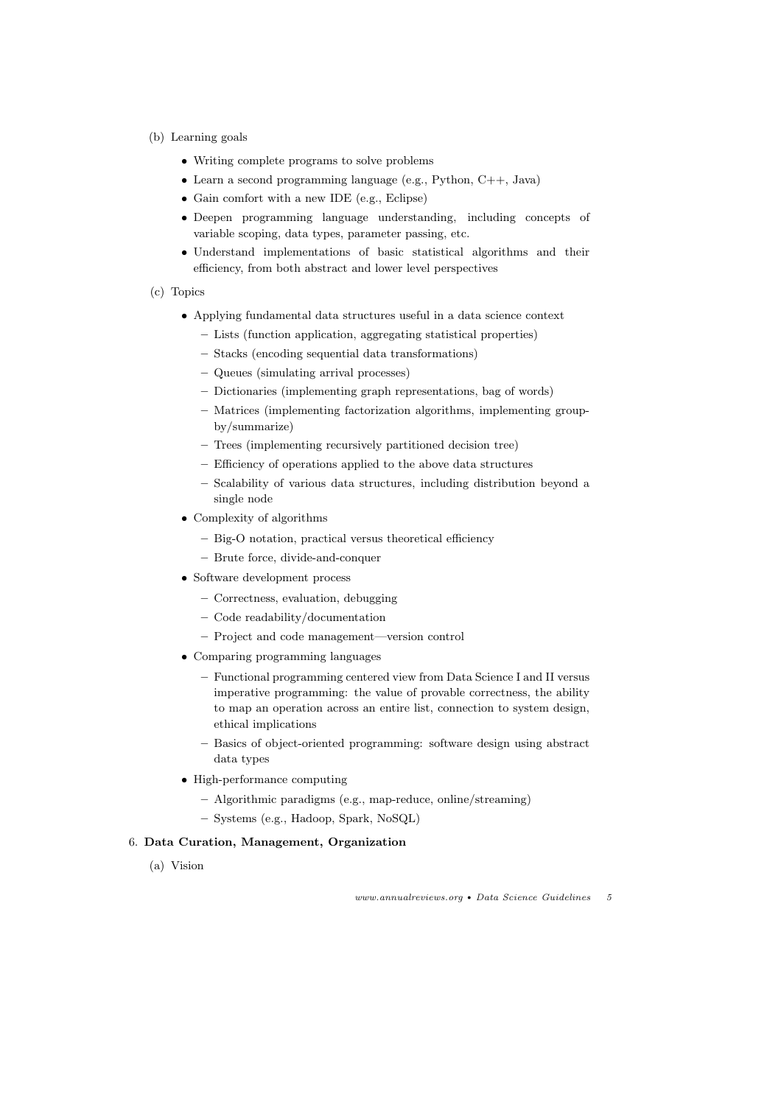- (b) Learning goals
	- Writing complete programs to solve problems
	- Learn a second programming language (e.g., Python,  $C_{++}$ , Java)
	- Gain comfort with a new IDE (e.g., Eclipse)
	- Deepen programming language understanding, including concepts of variable scoping, data types, parameter passing, etc.
	- Understand implementations of basic statistical algorithms and their efficiency, from both abstract and lower level perspectives
- (c) Topics
	- Applying fundamental data structures useful in a data science context
		- Lists (function application, aggregating statistical properties)
		- Stacks (encoding sequential data transformations)
		- Queues (simulating arrival processes)
		- Dictionaries (implementing graph representations, bag of words)
		- Matrices (implementing factorization algorithms, implementing groupby/summarize)
		- Trees (implementing recursively partitioned decision tree)
		- Efficiency of operations applied to the above data structures
		- Scalability of various data structures, including distribution beyond a single node
	- Complexity of algorithms
		- Big-O notation, practical versus theoretical efficiency
		- Brute force, divide-and-conquer
	- Software development process
		- Correctness, evaluation, debugging
		- Code readability/documentation
		- Project and code management—version control
	- Comparing programming languages
		- Functional programming centered view from Data Science I and II versus imperative programming: the value of provable correctness, the ability to map an operation across an entire list, connection to system design, ethical implications
		- Basics of object-oriented programming: software design using abstract data types
	- High-performance computing
		- Algorithmic paradigms (e.g., map-reduce, online/streaming)
		- Systems (e.g., Hadoop, Spark, NoSQL)

# 6. Data Curation, Management, Organization

(a) Vision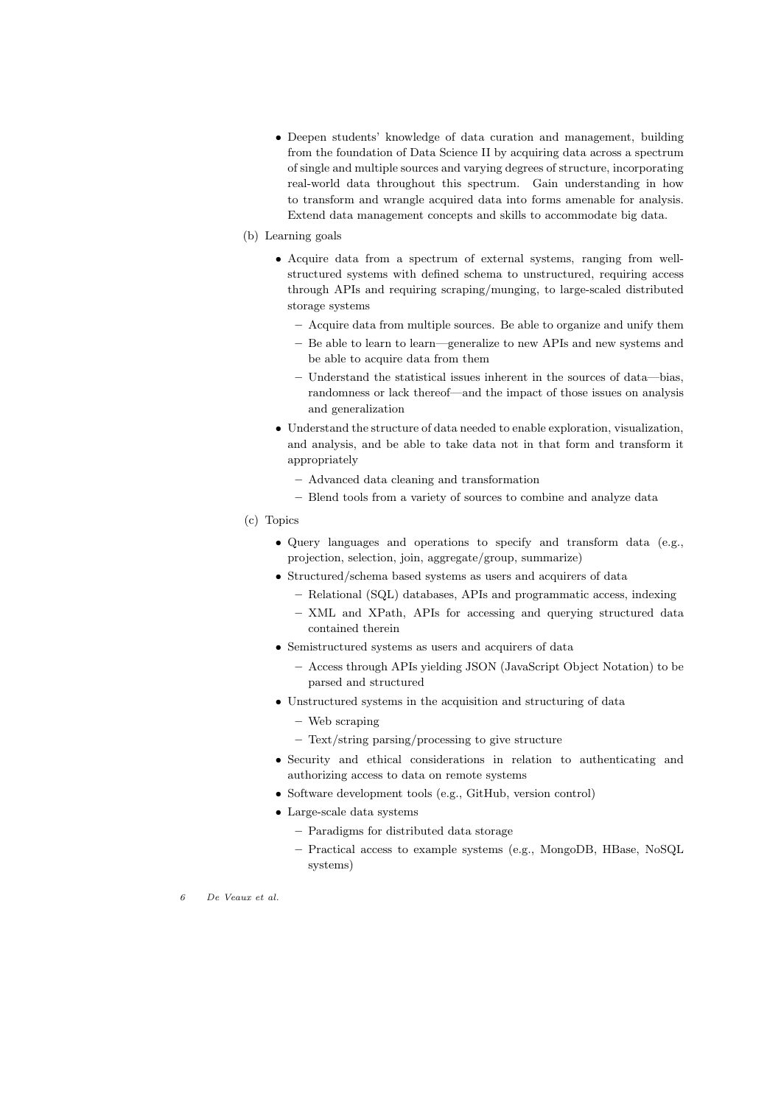- Deepen students' knowledge of data curation and management, building from the foundation of Data Science II by acquiring data across a spectrum of single and multiple sources and varying degrees of structure, incorporating real-world data throughout this spectrum. Gain understanding in how to transform and wrangle acquired data into forms amenable for analysis. Extend data management concepts and skills to accommodate big data.
- (b) Learning goals
	- Acquire data from a spectrum of external systems, ranging from wellstructured systems with defined schema to unstructured, requiring access through APIs and requiring scraping/munging, to large-scaled distributed storage systems
		- Acquire data from multiple sources. Be able to organize and unify them
		- Be able to learn to learn—generalize to new APIs and new systems and be able to acquire data from them
		- Understand the statistical issues inherent in the sources of data—bias, randomness or lack thereof—and the impact of those issues on analysis and generalization
	- Understand the structure of data needed to enable exploration, visualization, and analysis, and be able to take data not in that form and transform it appropriately
		- Advanced data cleaning and transformation
		- Blend tools from a variety of sources to combine and analyze data
- (c) Topics
	- Query languages and operations to specify and transform data (e.g., projection, selection, join, aggregate/group, summarize)
	- Structured/schema based systems as users and acquirers of data
		- Relational (SQL) databases, APIs and programmatic access, indexing
		- XML and XPath, APIs for accessing and querying structured data contained therein
	- Semistructured systems as users and acquirers of data
		- Access through APIs yielding JSON (JavaScript Object Notation) to be parsed and structured
	- Unstructured systems in the acquisition and structuring of data
		- Web scraping
		- Text/string parsing/processing to give structure
	- Security and ethical considerations in relation to authenticating and authorizing access to data on remote systems
	- Software development tools (e.g., GitHub, version control)
	- Large-scale data systems
		- Paradigms for distributed data storage
		- Practical access to example systems (e.g., MongoDB, HBase, NoSQL systems)
- 6 De Veaux et al.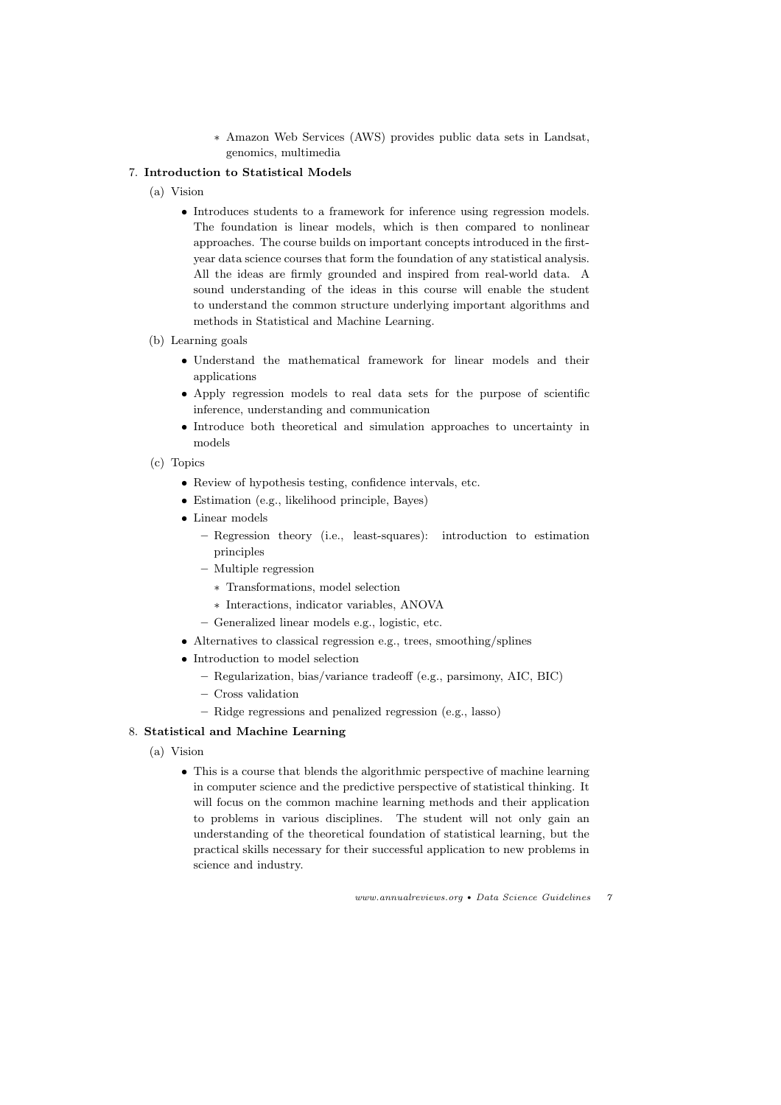∗ Amazon Web Services (AWS) provides public data sets in Landsat, genomics, multimedia

# 7. Introduction to Statistical Models

- (a) Vision
	- Introduces students to a framework for inference using regression models. The foundation is linear models, which is then compared to nonlinear approaches. The course builds on important concepts introduced in the firstyear data science courses that form the foundation of any statistical analysis. All the ideas are firmly grounded and inspired from real-world data. A sound understanding of the ideas in this course will enable the student to understand the common structure underlying important algorithms and methods in Statistical and Machine Learning.
- (b) Learning goals
	- Understand the mathematical framework for linear models and their applications
	- Apply regression models to real data sets for the purpose of scientific inference, understanding and communication
	- Introduce both theoretical and simulation approaches to uncertainty in models
- (c) Topics
	- Review of hypothesis testing, confidence intervals, etc.
	- Estimation (e.g., likelihood principle, Bayes)
	- Linear models
		- Regression theory (i.e., least-squares): introduction to estimation principles
		- Multiple regression
			- ∗ Transformations, model selection
			- ∗ Interactions, indicator variables, ANOVA
		- Generalized linear models e.g., logistic, etc.
	- Alternatives to classical regression e.g., trees, smoothing/splines
	- Introduction to model selection
		- Regularization, bias/variance tradeoff (e.g., parsimony, AIC, BIC)
		- Cross validation
		- Ridge regressions and penalized regression (e.g., lasso)

### 8. Statistical and Machine Learning

- (a) Vision
	- This is a course that blends the algorithmic perspective of machine learning in computer science and the predictive perspective of statistical thinking. It will focus on the common machine learning methods and their application to problems in various disciplines. The student will not only gain an understanding of the theoretical foundation of statistical learning, but the practical skills necessary for their successful application to new problems in science and industry.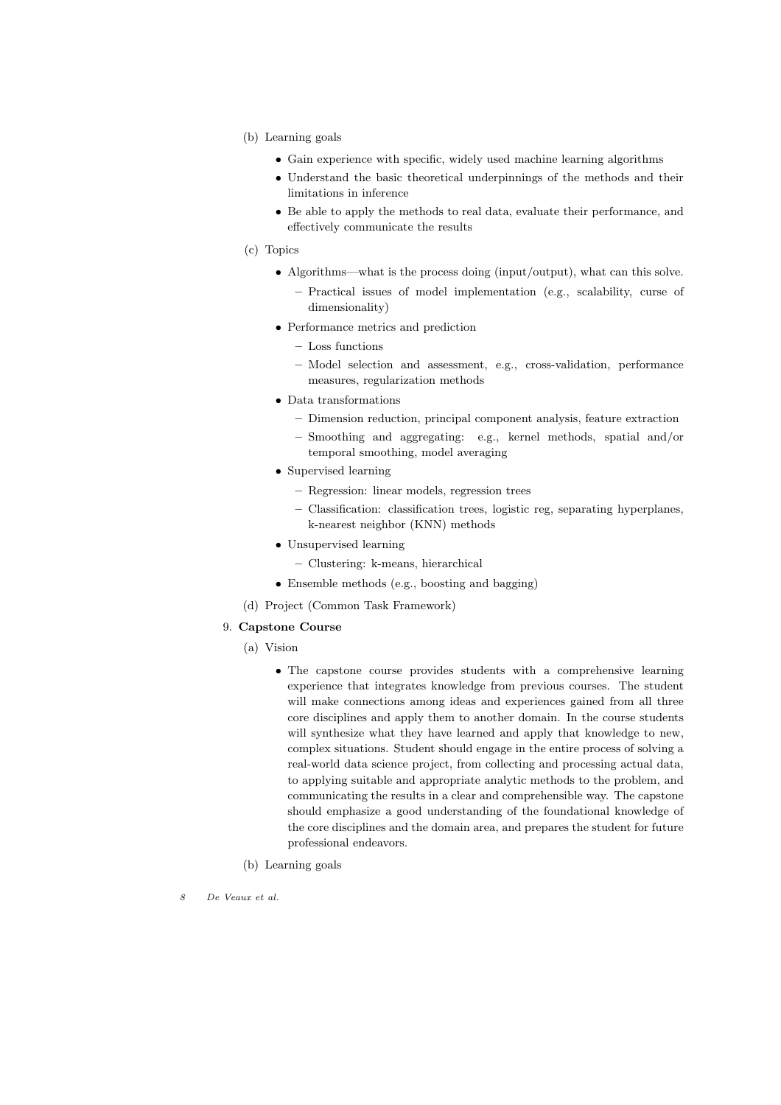- (b) Learning goals
	- Gain experience with specific, widely used machine learning algorithms
	- Understand the basic theoretical underpinnings of the methods and their limitations in inference
	- Be able to apply the methods to real data, evaluate their performance, and effectively communicate the results
- (c) Topics
	- Algorithms—what is the process doing (input/output), what can this solve.
		- Practical issues of model implementation (e.g., scalability, curse of dimensionality)
	- Performance metrics and prediction
		- Loss functions
		- Model selection and assessment, e.g., cross-validation, performance measures, regularization methods
	- Data transformations
		- Dimension reduction, principal component analysis, feature extraction
		- Smoothing and aggregating: e.g., kernel methods, spatial and/or temporal smoothing, model averaging
	- Supervised learning
		- Regression: linear models, regression trees
		- Classification: classification trees, logistic reg, separating hyperplanes, k-nearest neighbor (KNN) methods
	- Unsupervised learning
		- Clustering: k-means, hierarchical
	- Ensemble methods (e.g., boosting and bagging)
- (d) Project (Common Task Framework)

### 9. Capstone Course

- (a) Vision
	- The capstone course provides students with a comprehensive learning experience that integrates knowledge from previous courses. The student will make connections among ideas and experiences gained from all three core disciplines and apply them to another domain. In the course students will synthesize what they have learned and apply that knowledge to new, complex situations. Student should engage in the entire process of solving a real-world data science project, from collecting and processing actual data, to applying suitable and appropriate analytic methods to the problem, and communicating the results in a clear and comprehensible way. The capstone should emphasize a good understanding of the foundational knowledge of the core disciplines and the domain area, and prepares the student for future professional endeavors.
- (b) Learning goals
- 8 De Veaux et al.